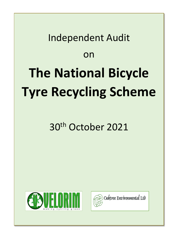# Independent Audit on **The National Bicycle Tyre Recycling Scheme**

# 30th October 2021



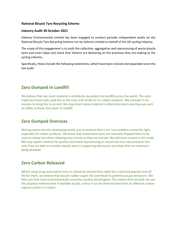#### **National Bicycle Tyre Recycling Scheme**

#### **Industry Audit 30 October 2021**

Oaktree Environmental Limited has been engaged to conduct periodic independent audits on the National Bicycle Tyre Recycling Scheme run by Velorim Limited on behalf of the UK cycling industry.

The scope of this engagement is to audit the collection, aggregation and reprocessing of waste bicycle tyres and inner tubes and check that Velorim are delivering on the promises they are making to the cycling industry.

Specifically, these include the following statements, which have been revised and expanded since the last audit.

# **Zero Dumped in Landfill**

We believe that too much material is mindlessly discarded into landfill across the world. The cycle trade has historically used this as the main end-of-life for its rubber products. We consider it our mission to bring this to an end. We may divert some material to alternative land covering uses such as safety surfaces, but never to landfill.

## **Zero Dumped Overseas**

Moving waste into the developing world, just to pretend that it isn't our problem cannot be right, especially for rubber products. We know that automotive tyres are routinely shipped there to be used as cheap fuel often releasing toxic fumes as they are burned. We will have no part in this trade. We may export material for quality-controlled reprocessing or conversion into new products but only if we are able to monitor exactly what is happening and assure ourselves that no material is being dumped.

## **Zero Carbon Released**

Whilst using scrap automotive tyres in industrial cement kilns might be a valid and popular end-oflife for them, we believe that bicycle rubber ought not contribute to greenhouse gas emissions. We feel sure that most environmentally conscious cyclists would agree. This means that we shall not use this disposal method even if available locally, unless it can be demonstrated that an effective carboncapture system is in place.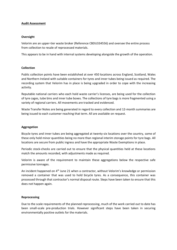#### **Audit Assessment**

#### **Oversight**

Velorim are an upper-tier waste broker (Reference CBDU334556) and oversee the entire process from collection to resale of reprocessed materials.

This appears to be in hand with internal systems developing alongside the growth of the operation.

#### **Collection**

Public collection points have been established at over 450 locations across England, Scotland, Wales and Northern Ireland with suitable containers for tyres and inner tubes being issued as required. The recording system that Velorim has in place is being upgraded in order to cope with the increasing activity.

Reputable national carriers who each hold waste carrier's licenses, are being used for the collection of tyre cages, tube bins and inner tube boxes. The collections of tyre bags is more fragmented using a variety of regional carriers. All movements are tracked and evidenced.

Waste Transfer Notes are being generated in regard to every collection and 12-month summaries are being issued to each customer reaching that term. All are available on request.

#### **Aggregation**

Bicycle tyres and inner tubes are being aggregated at twenty-six locations over the country, some of these only hold minor quantities being no more than regional interim storage points for tyre bags. All locations are secure from public ingress and have the appropriate Waste Exemptions in place.

Periodic stock-checks are carried out to ensure that the physical quantities held at these locations match the amounts recorded, with adjustments made as required.

Velorim is aware of the requirement to maintain these aggregations below the respective safe permissive tonnages.

An incident happened on 4<sup>th</sup> June 21 when a contractor, without Velorim's knowledge or permission removed a container that was used to hold bicycle tyres. As a consequence, this container was processed through that contractor's normal disposal route. Steps have been taken to ensure that this does not happen again.

#### **Reprocessing**

Due to the scale requirements of the planned reprocessing, much of the work carried out to date has been small-scale pre-production trials. However significant steps have been taken in securing environmentally positive outlets for the materials.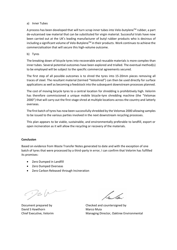#### a) Inner Tubes

A process has been developed that will turn scrap inner tubes into Velo-butylene™ rubber, a part de-vulcanised raw material that can be substituted for virgin material. Successful trials have now been carried out at the UK's leading manufacturer of butyl rubber products who is desirous of including a significant volume of Velo-Butylene™ in their products. Work continues to achieve the commercialisation that will secure this high-volume outcome.

#### b) Tyres

The breaking down of bicycle tyres into recoverable and reusable materials is more complex than inner tubes. Several potential outcomes have been explored and trialled. The eventual method(s) to be employed will be subject to the specific commercial agreements secured.

The first step of all possible outcomes is to shred the tyres into 15-20mm pieces removing all traces of steel. The resultant material (termed "Veloshred") can then be used directly for surface applications as well as becoming a feedstock into the subsequent downstream processes planned.

The cost of moving bicycle tyres to a central location for shredding is prohibitively high. Velorim has therefore commissioned a unique mobile bicycle-tyre shredding machine (the "Velomax 2000") that will carry out the first-stage shred at multiple locations across the country and latterly overseas.

The first batch of tyres has now been successfully shredded by the Velomax 2000 allowing samples to be issued to the various parties involved in the next downstream recycling processes.

This plan appears to be viable, sustainable, and environmentally preferable to landfill, export or open incineration as it will allow the recycling or recovery of the materials.

#### **Conclusion**

Based on evidence from Waste Transfer Notes generated to date and with the exception of one batch of tyres that were processed by a third-party in error, I can confirm that Velorim has fulfilled its promises:

- Zero Dumped in Landfill
- Zero Dumped Overseas
- Zero Carbon Released through Incineration

Tel

David S Hawthorn Marco Muia

le de

Document prepared by Checked and countersigned by Chief Executive, Velorim Managing Director, Oaktree Environmental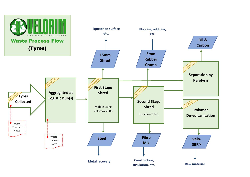